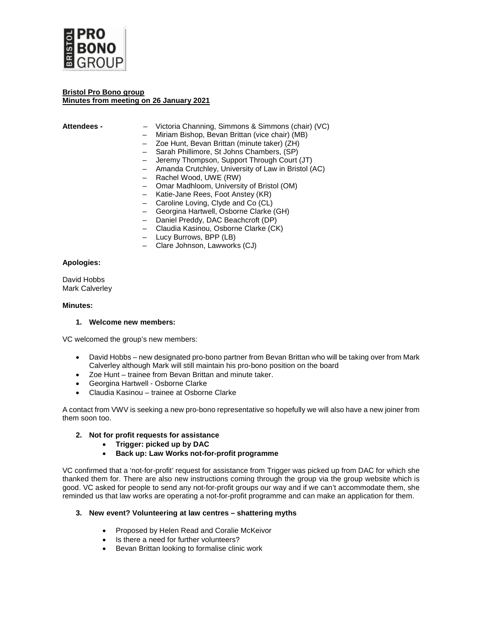

### **Bristol Pro Bono group Minutes from meeting on 26 January 2021**

- **Attendees**  Victoria Channing, Simmons & Simmons (chair) (VC)
	- Miriam Bishop, Bevan Brittan (vice chair) (MB)
	- Zoe Hunt, Bevan Brittan (minute taker) (ZH)
	- Sarah Phillimore, St Johns Chambers, (SP)
	- Jeremy Thompson, Support Through Court (JT)
	- Amanda Crutchley, University of Law in Bristol (AC)
	- Rachel Wood, UWE (RW)
	- Omar Madhloom, University of Bristol (OM)
	- Katie-Jane Rees, Foot Anstey (KR)
	- Caroline Loving, Clyde and Co (CL)
	- Georgina Hartwell, Osborne Clarke (GH)
	- Daniel Preddy, DAC Beachcroft (DP)
	- Claudia Kasinou, Osborne Clarke (CK)
	- Lucy Burrows, BPP (LB)
	- Clare Johnson, Lawworks (CJ)

### **Apologies:**

David Hobbs Mark Calverley

### **Minutes:**

### **1. Welcome new members:**

VC welcomed the group's new members:

- David Hobbs new designated pro-bono partner from Bevan Brittan who will be taking over from Mark Calverley although Mark will still maintain his pro-bono position on the board
- Zoe Hunt trainee from Bevan Brittan and minute taker.
- Georgina Hartwell Osborne Clarke
- Claudia Kasinou trainee at Osborne Clarke

A contact from VWV is seeking a new pro-bono representative so hopefully we will also have a new joiner from them soon too.

## **2. Not for profit requests for assistance**

- **Trigger: picked up by DAC**
- **Back up: Law Works not-for-profit programme**

VC confirmed that a 'not-for-profit' request for assistance from Trigger was picked up from DAC for which she thanked them for. There are also new instructions coming through the group via the group website which is good. VC asked for people to send any not-for-profit groups our way and if we can't accommodate them, she reminded us that law works are operating a not-for-profit programme and can make an application for them.

## **3. New event? Volunteering at law centres – shattering myths**

- Proposed by Helen Read and Coralie McKeivor
- Is there a need for further volunteers?
- Bevan Brittan looking to formalise clinic work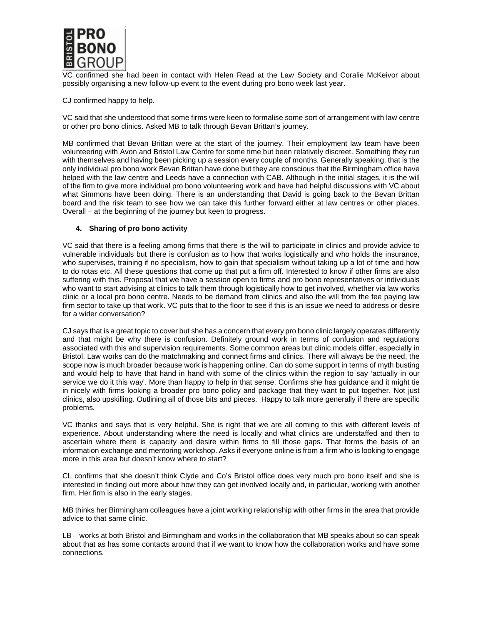

VC confirmed she had been in contact with Helen Read at the Law Society and Coralie McKeivor about possibly organising a new follow-up event to the event during pro bono week last year.

CJ confirmed happy to help.

VC said that she understood that some firms were keen to formalise some sort of arrangement with law centre or other pro bono clinics. Asked MB to talk through Bevan Brittan's journey.

MB confirmed that Bevan Brittan were at the start of the journey. Their employment law team have been volunteering with Avon and Bristol Law Centre for some time but been relatively discreet. Something they run with themselves and having been picking up a session every couple of months. Generally speaking, that is the only individual pro bono work Bevan Brittan have done but they are conscious that the Birmingham office have helped with the law centre and Leeds have a connection with CAB. Although in the initial stages, it is the will of the firm to give more individual pro bono volunteering work and have had helpful discussions with VC about what Simmons have been doing. There is an understanding that David is going back to the Bevan Brittan board and the risk team to see how we can take this further forward either at law centres or other places. Overall – at the beginning of the journey but keen to progress.

### **4. Sharing of pro bono activity**

VC said that there is a feeling among firms that there is the will to participate in clinics and provide advice to vulnerable individuals but there is confusion as to how that works logistically and who holds the insurance, who supervises, training if no specialism, how to gain that specialism without taking up a lot of time and how to do rotas etc. All these questions that come up that put a firm off. Interested to know if other firms are also suffering with this. Proposal that we have a session open to firms and pro bono representatives or individuals who want to start advising at clinics to talk them through logistically how to get involved, whether via law works clinic or a local pro bono centre. Needs to be demand from clinics and also the will from the fee paying law firm sector to take up that work. VC puts that to the floor to see if this is an issue we need to address or desire for a wider conversation?

CJ says that is a great topic to cover but she has a concern that every pro bono clinic largely operates differently and that might be why there is confusion. Definitely ground work in terms of confusion and regulations associated with this and supervision requirements. Some common areas but clinic models differ, especially in Bristol. Law works can do the matchmaking and connect firms and clinics. There will always be the need, the scope now is much broader because work is happening online. Can do some support in terms of myth busting and would help to have that hand in hand with some of the clinics within the region to say 'actually in our service we do it this way'. More than happy to help in that sense. Confirms she has guidance and it might tie in nicely with firms looking a broader pro bono policy and package that they want to put together. Not just clinics, also upskilling. Outlining all of those bits and pieces. Happy to talk more generally if there are specific problems.

VC thanks and says that is very helpful. She is right that we are all coming to this with different levels of experience. About understanding where the need is locally and what clinics are understaffed and then to ascertain where there is capacity and desire within firms to fill those gaps. That forms the basis of an information exchange and mentoring workshop. Asks if everyone online is from a firm who is looking to engage more in this area but doesn't know where to start?

CL confirms that she doesn't think Clyde and Co's Bristol office does very much pro bono itself and she is interested in finding out more about how they can get involved locally and, in particular, working with another firm. Her firm is also in the early stages.

MB thinks her Birmingham colleagues have a joint working relationship with other firms in the area that provide advice to that same clinic.

LB – works at both Bristol and Birmingham and works in the collaboration that MB speaks about so can speak about that as has some contacts around that if we want to know how the collaboration works and have some connections.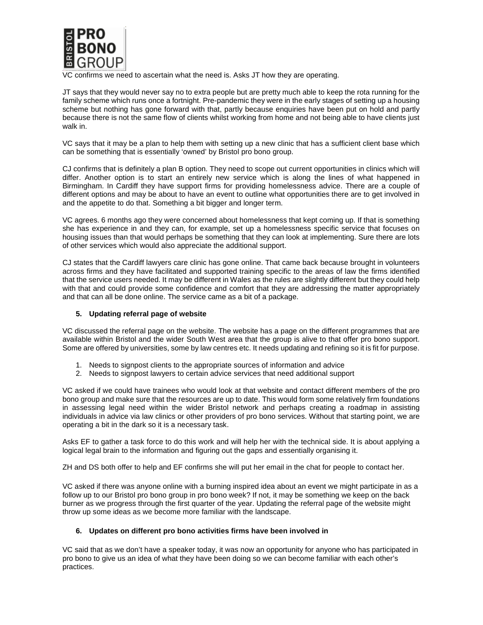

confirms we need to ascertain what the need is. Asks JT how they are operating.

JT says that they would never say no to extra people but are pretty much able to keep the rota running for the family scheme which runs once a fortnight. Pre-pandemic they were in the early stages of setting up a housing scheme but nothing has gone forward with that, partly because enquiries have been put on hold and partly because there is not the same flow of clients whilst working from home and not being able to have clients just walk in.

VC says that it may be a plan to help them with setting up a new clinic that has a sufficient client base which can be something that is essentially 'owned' by Bristol pro bono group.

CJ confirms that is definitely a plan B option. They need to scope out current opportunities in clinics which will differ. Another option is to start an entirely new service which is along the lines of what happened in Birmingham. In Cardiff they have support firms for providing homelessness advice. There are a couple of different options and may be about to have an event to outline what opportunities there are to get involved in and the appetite to do that. Something a bit bigger and longer term.

VC agrees. 6 months ago they were concerned about homelessness that kept coming up. If that is something she has experience in and they can, for example, set up a homelessness specific service that focuses on housing issues than that would perhaps be something that they can look at implementing. Sure there are lots of other services which would also appreciate the additional support.

CJ states that the Cardiff lawyers care clinic has gone online. That came back because brought in volunteers across firms and they have facilitated and supported training specific to the areas of law the firms identified that the service users needed. It may be different in Wales as the rules are slightly different but they could help with that and could provide some confidence and comfort that they are addressing the matter appropriately and that can all be done online. The service came as a bit of a package.

## **5. Updating referral page of website**

VC discussed the referral page on the website. The website has a page on the different programmes that are available within Bristol and the wider South West area that the group is alive to that offer pro bono support. Some are offered by universities, some by law centres etc. It needs updating and refining so it is fit for purpose.

- 1. Needs to signpost clients to the appropriate sources of information and advice
- 2. Needs to signpost lawyers to certain advice services that need additional support

VC asked if we could have trainees who would look at that website and contact different members of the pro bono group and make sure that the resources are up to date. This would form some relatively firm foundations in assessing legal need within the wider Bristol network and perhaps creating a roadmap in assisting individuals in advice via law clinics or other providers of pro bono services. Without that starting point, we are operating a bit in the dark so it is a necessary task.

Asks EF to gather a task force to do this work and will help her with the technical side. It is about applying a logical legal brain to the information and figuring out the gaps and essentially organising it.

ZH and DS both offer to help and EF confirms she will put her email in the chat for people to contact her.

VC asked if there was anyone online with a burning inspired idea about an event we might participate in as a follow up to our Bristol pro bono group in pro bono week? If not, it may be something we keep on the back burner as we progress through the first quarter of the year. Updating the referral page of the website might throw up some ideas as we become more familiar with the landscape.

## **6. Updates on different pro bono activities firms have been involved in**

VC said that as we don't have a speaker today, it was now an opportunity for anyone who has participated in pro bono to give us an idea of what they have been doing so we can become familiar with each other's practices.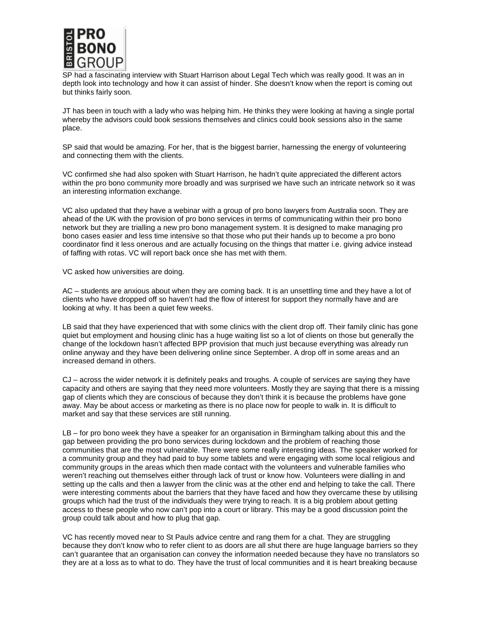

SP had a fascinating interview with Stuart Harrison about Legal Tech which was really good. It was an in depth look into technology and how it can assist of hinder. She doesn't know when the report is coming out but thinks fairly soon.

JT has been in touch with a lady who was helping him. He thinks they were looking at having a single portal whereby the advisors could book sessions themselves and clinics could book sessions also in the same place.

SP said that would be amazing. For her, that is the biggest barrier, harnessing the energy of volunteering and connecting them with the clients.

VC confirmed she had also spoken with Stuart Harrison, he hadn't quite appreciated the different actors within the pro bono community more broadly and was surprised we have such an intricate network so it was an interesting information exchange.

VC also updated that they have a webinar with a group of pro bono lawyers from Australia soon. They are ahead of the UK with the provision of pro bono services in terms of communicating within their pro bono network but they are trialling a new pro bono management system. It is designed to make managing pro bono cases easier and less time intensive so that those who put their hands up to become a pro bono coordinator find it less onerous and are actually focusing on the things that matter i.e. giving advice instead of faffing with rotas. VC will report back once she has met with them.

VC asked how universities are doing.

AC – students are anxious about when they are coming back. It is an unsettling time and they have a lot of clients who have dropped off so haven't had the flow of interest for support they normally have and are looking at why. It has been a quiet few weeks.

LB said that they have experienced that with some clinics with the client drop off. Their family clinic has gone quiet but employment and housing clinic has a huge waiting list so a lot of clients on those but generally the change of the lockdown hasn't affected BPP provision that much just because everything was already run online anyway and they have been delivering online since September. A drop off in some areas and an increased demand in others.

CJ – across the wider network it is definitely peaks and troughs. A couple of services are saying they have capacity and others are saying that they need more volunteers. Mostly they are saying that there is a missing gap of clients which they are conscious of because they don't think it is because the problems have gone away. May be about access or marketing as there is no place now for people to walk in. It is difficult to market and say that these services are still running.

LB – for pro bono week they have a speaker for an organisation in Birmingham talking about this and the gap between providing the pro bono services during lockdown and the problem of reaching those communities that are the most vulnerable. There were some really interesting ideas. The speaker worked for a community group and they had paid to buy some tablets and were engaging with some local religious and community groups in the areas which then made contact with the volunteers and vulnerable families who weren't reaching out themselves either through lack of trust or know how. Volunteers were dialling in and setting up the calls and then a lawyer from the clinic was at the other end and helping to take the call. There were interesting comments about the barriers that they have faced and how they overcame these by utilising groups which had the trust of the individuals they were trying to reach. It is a big problem about getting access to these people who now can't pop into a court or library. This may be a good discussion point the group could talk about and how to plug that gap.

VC has recently moved near to St Pauls advice centre and rang them for a chat. They are struggling because they don't know who to refer client to as doors are all shut there are huge language barriers so they can't guarantee that an organisation can convey the information needed because they have no translators so they are at a loss as to what to do. They have the trust of local communities and it is heart breaking because